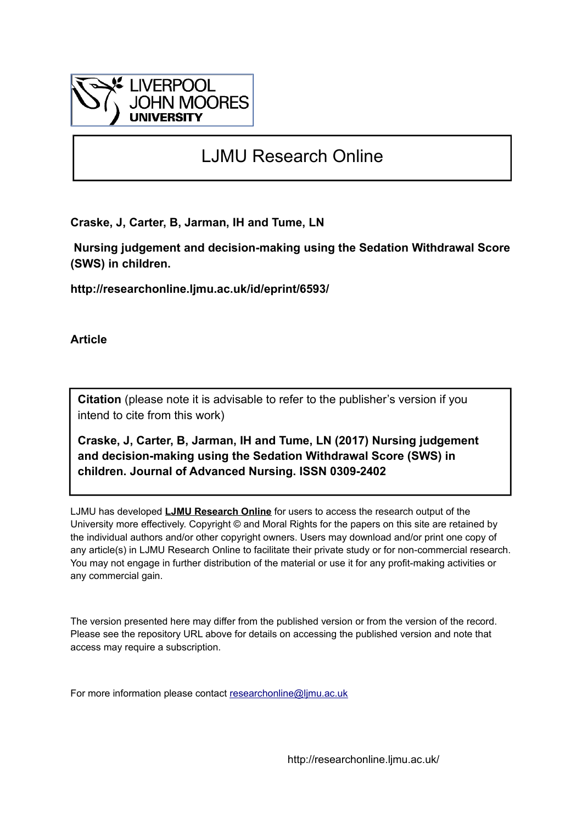

# LJMU Research Online

**Craske, J, Carter, B, Jarman, IH and Tume, LN**

 **Nursing judgement and decision-making using the Sedation Withdrawal Score (SWS) in children.**

**http://researchonline.ljmu.ac.uk/id/eprint/6593/**

**Article**

**Citation** (please note it is advisable to refer to the publisher's version if you intend to cite from this work)

**Craske, J, Carter, B, Jarman, IH and Tume, LN (2017) Nursing judgement and decision-making using the Sedation Withdrawal Score (SWS) in children. Journal of Advanced Nursing. ISSN 0309-2402** 

LJMU has developed **[LJMU Research Online](http://researchonline.ljmu.ac.uk/)** for users to access the research output of the University more effectively. Copyright © and Moral Rights for the papers on this site are retained by the individual authors and/or other copyright owners. Users may download and/or print one copy of any article(s) in LJMU Research Online to facilitate their private study or for non-commercial research. You may not engage in further distribution of the material or use it for any profit-making activities or any commercial gain.

The version presented here may differ from the published version or from the version of the record. Please see the repository URL above for details on accessing the published version and note that access may require a subscription.

For more information please contact [researchonline@ljmu.ac.uk](mailto:researchonline@ljmu.ac.uk)

http://researchonline.ljmu.ac.uk/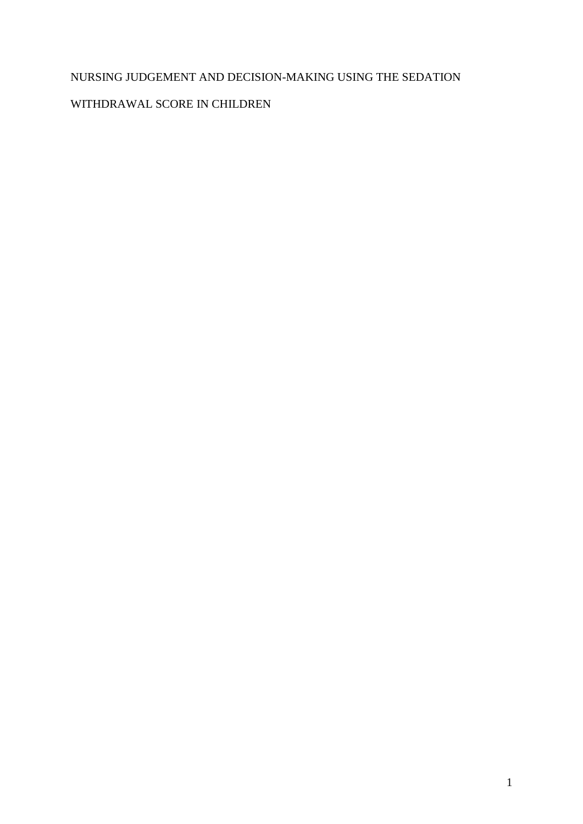# NURSING JUDGEMENT AND DECISION-MAKING USING THE SEDATION

# WITHDRAWAL SCORE IN CHILDREN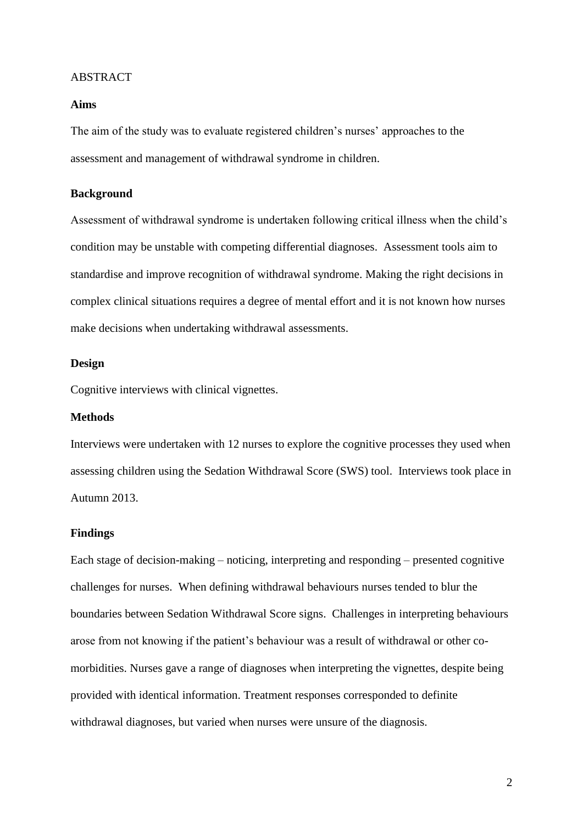#### ABSTRACT

### **Aims**

The aim of the study was to evaluate registered children's nurses' approaches to the assessment and management of withdrawal syndrome in children.

### **Background**

Assessment of withdrawal syndrome is undertaken following critical illness when the child's condition may be unstable with competing differential diagnoses. Assessment tools aim to standardise and improve recognition of withdrawal syndrome. Making the right decisions in complex clinical situations requires a degree of mental effort and it is not known how nurses make decisions when undertaking withdrawal assessments.

### **Design**

Cognitive interviews with clinical vignettes.

#### **Methods**

Interviews were undertaken with 12 nurses to explore the cognitive processes they used when assessing children using the Sedation Withdrawal Score (SWS) tool. Interviews took place in Autumn 2013.

### **Findings**

Each stage of decision-making – noticing, interpreting and responding – presented cognitive challenges for nurses. When defining withdrawal behaviours nurses tended to blur the boundaries between Sedation Withdrawal Score signs. Challenges in interpreting behaviours arose from not knowing if the patient's behaviour was a result of withdrawal or other comorbidities. Nurses gave a range of diagnoses when interpreting the vignettes, despite being provided with identical information. Treatment responses corresponded to definite withdrawal diagnoses, but varied when nurses were unsure of the diagnosis.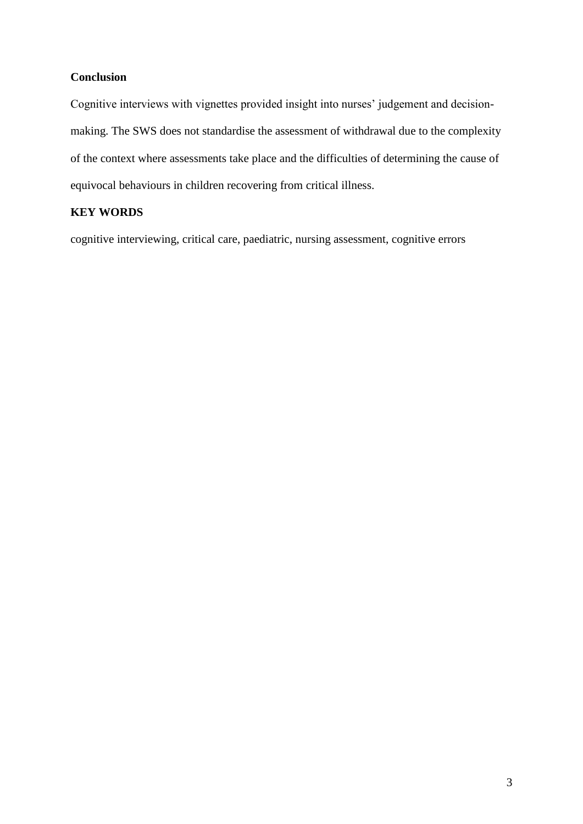### **Conclusion**

Cognitive interviews with vignettes provided insight into nurses' judgement and decisionmaking. The SWS does not standardise the assessment of withdrawal due to the complexity of the context where assessments take place and the difficulties of determining the cause of equivocal behaviours in children recovering from critical illness.

# **KEY WORDS**

cognitive interviewing, critical care, paediatric, nursing assessment, cognitive errors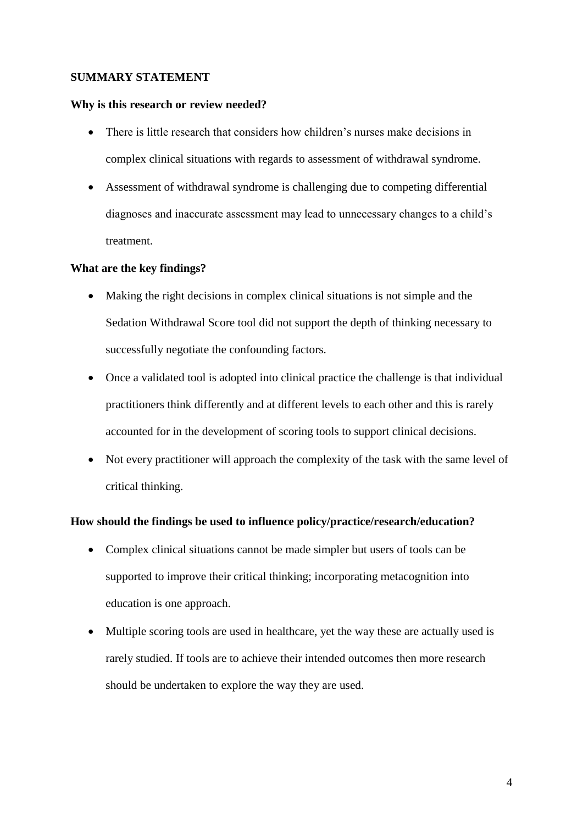### **SUMMARY STATEMENT**

### **Why is this research or review needed?**

- There is little research that considers how children's nurses make decisions in complex clinical situations with regards to assessment of withdrawal syndrome.
- Assessment of withdrawal syndrome is challenging due to competing differential diagnoses and inaccurate assessment may lead to unnecessary changes to a child's treatment.

### **What are the key findings?**

- Making the right decisions in complex clinical situations is not simple and the Sedation Withdrawal Score tool did not support the depth of thinking necessary to successfully negotiate the confounding factors.
- Once a validated tool is adopted into clinical practice the challenge is that individual practitioners think differently and at different levels to each other and this is rarely accounted for in the development of scoring tools to support clinical decisions.
- Not every practitioner will approach the complexity of the task with the same level of critical thinking.

### **How should the findings be used to influence policy/practice/research/education?**

- Complex clinical situations cannot be made simpler but users of tools can be supported to improve their critical thinking; incorporating metacognition into education is one approach.
- Multiple scoring tools are used in healthcare, yet the way these are actually used is rarely studied. If tools are to achieve their intended outcomes then more research should be undertaken to explore the way they are used.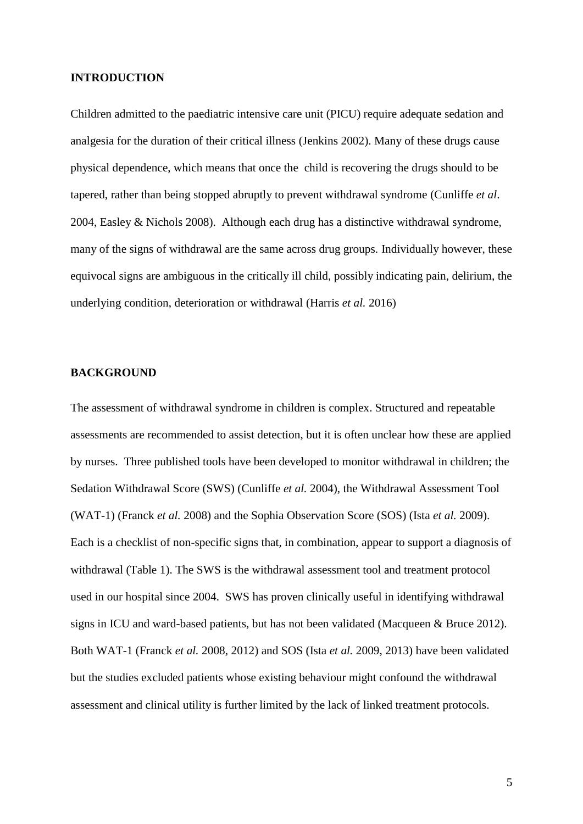#### **INTRODUCTION**

Children admitted to the paediatric intensive care unit (PICU) require adequate sedation and analgesia for the duration of their critical illness (Jenkins 2002). Many of these drugs cause physical dependence, which means that once the child is recovering the drugs should to be tapered, rather than being stopped abruptly to prevent withdrawal syndrome (Cunliffe *et al*. 2004, Easley & Nichols 2008). Although each drug has a distinctive withdrawal syndrome, many of the signs of withdrawal are the same across drug groups. Individually however, these equivocal signs are ambiguous in the critically ill child, possibly indicating pain, delirium, the underlying condition, deterioration or withdrawal (Harris *et al.* 2016)

### **BACKGROUND**

The assessment of withdrawal syndrome in children is complex. Structured and repeatable assessments are recommended to assist detection, but it is often unclear how these are applied by nurses. Three published tools have been developed to monitor withdrawal in children; the Sedation Withdrawal Score (SWS) (Cunliffe *et al.* 2004), the Withdrawal Assessment Tool (WAT-1) (Franck *et al.* 2008) and the Sophia Observation Score (SOS) (Ista *et al.* 2009). Each is a checklist of non-specific signs that, in combination, appear to support a diagnosis of withdrawal (Table 1). The SWS is the withdrawal assessment tool and treatment protocol used in our hospital since 2004. SWS has proven clinically useful in identifying withdrawal signs in ICU and ward-based patients, but has not been validated (Macqueen & Bruce 2012). Both WAT-1 (Franck *et al.* 2008, 2012) and SOS (Ista *et al.* 2009, 2013) have been validated but the studies excluded patients whose existing behaviour might confound the withdrawal assessment and clinical utility is further limited by the lack of linked treatment protocols.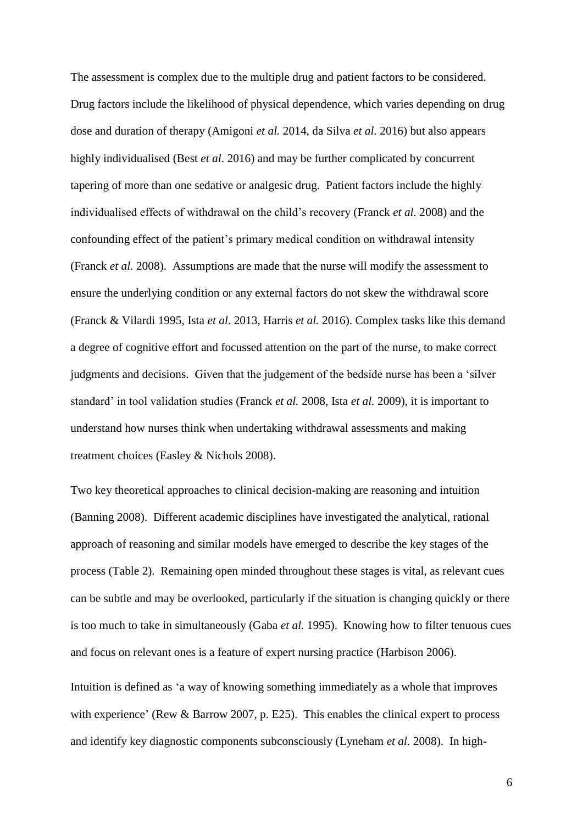The assessment is complex due to the multiple drug and patient factors to be considered. Drug factors include the likelihood of physical dependence, which varies depending on drug dose and duration of therapy (Amigoni *et al.* 2014, da Silva *et al.* 2016) but also appears highly individualised (Best *et al*. 2016) and may be further complicated by concurrent tapering of more than one sedative or analgesic drug. Patient factors include the highly individualised effects of withdrawal on the child's recovery (Franck *et al.* 2008) and the confounding effect of the patient's primary medical condition on withdrawal intensity (Franck *et al.* 2008). Assumptions are made that the nurse will modify the assessment to ensure the underlying condition or any external factors do not skew the withdrawal score (Franck & Vilardi 1995, Ista *et al*. 2013, Harris *et al.* 2016). Complex tasks like this demand a degree of cognitive effort and focussed attention on the part of the nurse, to make correct judgments and decisions. Given that the judgement of the bedside nurse has been a 'silver standard' in tool validation studies (Franck *et al.* 2008, Ista *et al.* 2009), it is important to understand how nurses think when undertaking withdrawal assessments and making treatment choices (Easley & Nichols 2008).

Two key theoretical approaches to clinical decision-making are reasoning and intuition (Banning 2008). Different academic disciplines have investigated the analytical, rational approach of reasoning and similar models have emerged to describe the key stages of the process (Table 2). Remaining open minded throughout these stages is vital, as relevant cues can be subtle and may be overlooked, particularly if the situation is changing quickly or there is too much to take in simultaneously (Gaba *et al.* 1995). Knowing how to filter tenuous cues and focus on relevant ones is a feature of expert nursing practice (Harbison 2006).

Intuition is defined as 'a way of knowing something immediately as a whole that improves with experience' (Rew & Barrow 2007, p. E25). This enables the clinical expert to process and identify key diagnostic components subconsciously (Lyneham *et al.* 2008). In high-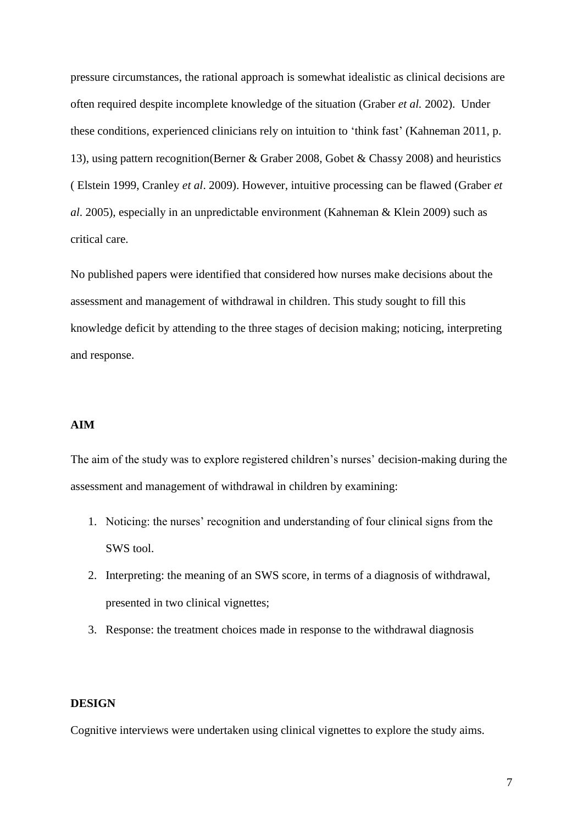pressure circumstances, the rational approach is somewhat idealistic as clinical decisions are often required despite incomplete knowledge of the situation (Graber *et al.* 2002). Under these conditions, experienced clinicians rely on intuition to 'think fast' (Kahneman 2011, p. 13), using pattern recognition(Berner & Graber 2008, Gobet & Chassy 2008) and heuristics ( Elstein 1999, Cranley *et al*. 2009). However, intuitive processing can be flawed (Graber *et al*. 2005), especially in an unpredictable environment (Kahneman & Klein 2009) such as critical care.

No published papers were identified that considered how nurses make decisions about the assessment and management of withdrawal in children. This study sought to fill this knowledge deficit by attending to the three stages of decision making; noticing, interpreting and response.

### **AIM**

The aim of the study was to explore registered children's nurses' decision-making during the assessment and management of withdrawal in children by examining:

- 1. Noticing: the nurses' recognition and understanding of four clinical signs from the SWS tool.
- 2. Interpreting: the meaning of an SWS score, in terms of a diagnosis of withdrawal, presented in two clinical vignettes;
- 3. Response: the treatment choices made in response to the withdrawal diagnosis

### **DESIGN**

Cognitive interviews were undertaken using clinical vignettes to explore the study aims.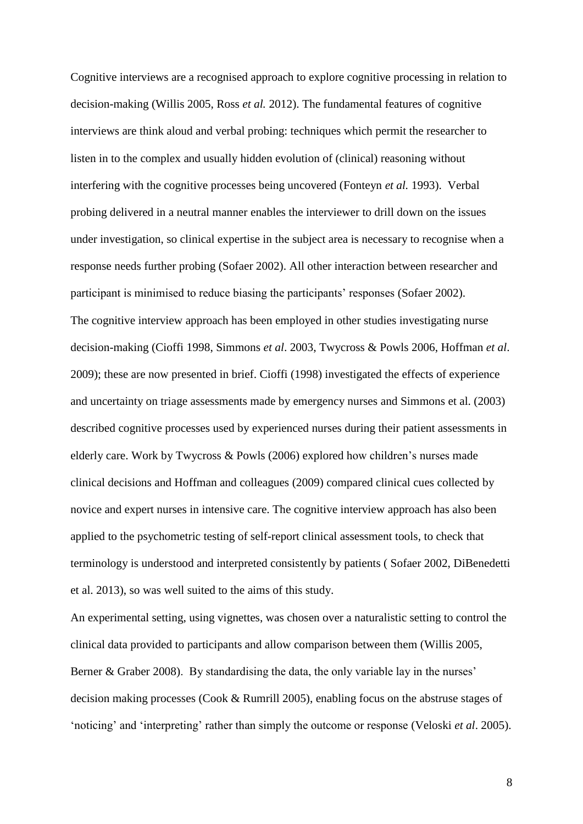Cognitive interviews are a recognised approach to explore cognitive processing in relation to decision-making (Willis 2005, Ross *et al.* 2012). The fundamental features of cognitive interviews are think aloud and verbal probing: techniques which permit the researcher to listen in to the complex and usually hidden evolution of (clinical) reasoning without interfering with the cognitive processes being uncovered (Fonteyn *et al.* 1993). Verbal probing delivered in a neutral manner enables the interviewer to drill down on the issues under investigation, so clinical expertise in the subject area is necessary to recognise when a response needs further probing (Sofaer 2002). All other interaction between researcher and participant is minimised to reduce biasing the participants' responses (Sofaer 2002). The cognitive interview approach has been employed in other studies investigating nurse decision-making (Cioffi 1998, Simmons *et al*. 2003, Twycross & Powls 2006, Hoffman *et al*. 2009); these are now presented in brief. Cioffi (1998) investigated the effects of experience and uncertainty on triage assessments made by emergency nurses and Simmons et al. (2003) described cognitive processes used by experienced nurses during their patient assessments in elderly care. Work by Twycross & Powls (2006) explored how children's nurses made clinical decisions and Hoffman and colleagues (2009) compared clinical cues collected by novice and expert nurses in intensive care. The cognitive interview approach has also been applied to the psychometric testing of self-report clinical assessment tools, to check that terminology is understood and interpreted consistently by patients ( Sofaer 2002, DiBenedetti et al. 2013), so was well suited to the aims of this study.

An experimental setting, using vignettes, was chosen over a naturalistic setting to control the clinical data provided to participants and allow comparison between them (Willis 2005, Berner & Graber 2008). By standardising the data, the only variable lay in the nurses' decision making processes (Cook & Rumrill 2005), enabling focus on the abstruse stages of 'noticing' and 'interpreting' rather than simply the outcome or response (Veloski *et al*. 2005).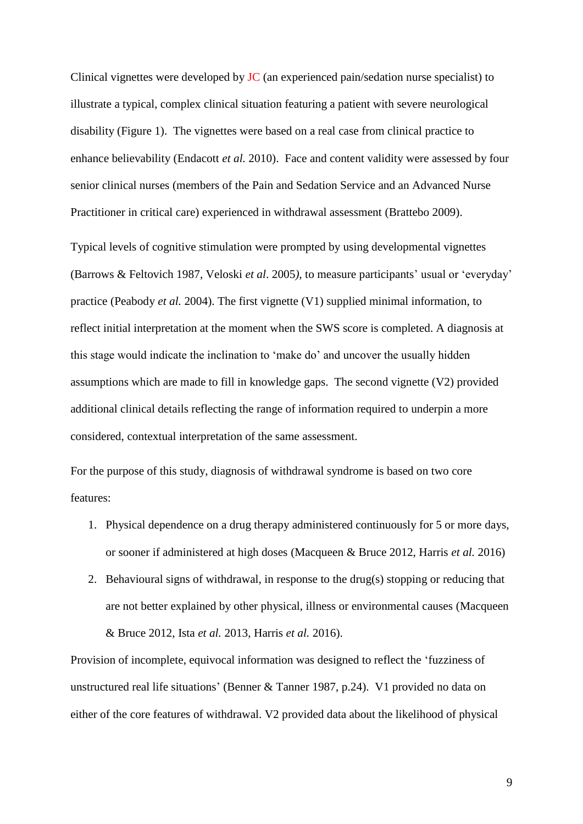Clinical vignettes were developed by JC (an experienced pain/sedation nurse specialist) to illustrate a typical, complex clinical situation featuring a patient with severe neurological disability (Figure 1). The vignettes were based on a real case from clinical practice to enhance believability (Endacott *et al.* 2010). Face and content validity were assessed by four senior clinical nurses (members of the Pain and Sedation Service and an Advanced Nurse Practitioner in critical care) experienced in withdrawal assessment (Brattebo 2009).

Typical levels of cognitive stimulation were prompted by using developmental vignettes (Barrows & Feltovich 1987, Veloski *et al*. 2005*),* to measure participants' usual or 'everyday' practice (Peabody *et al.* 2004). The first vignette (V1) supplied minimal information, to reflect initial interpretation at the moment when the SWS score is completed. A diagnosis at this stage would indicate the inclination to 'make do' and uncover the usually hidden assumptions which are made to fill in knowledge gaps. The second vignette (V2) provided additional clinical details reflecting the range of information required to underpin a more considered, contextual interpretation of the same assessment.

For the purpose of this study, diagnosis of withdrawal syndrome is based on two core features:

- 1. Physical dependence on a drug therapy administered continuously for 5 or more days, or sooner if administered at high doses (Macqueen & Bruce 2012, Harris *et al.* 2016)
- 2. Behavioural signs of withdrawal, in response to the drug(s) stopping or reducing that are not better explained by other physical, illness or environmental causes (Macqueen & Bruce 2012, Ista *et al.* 2013, Harris *et al.* 2016).

Provision of incomplete, equivocal information was designed to reflect the 'fuzziness of unstructured real life situations' (Benner & Tanner 1987, p.24). V1 provided no data on either of the core features of withdrawal. V2 provided data about the likelihood of physical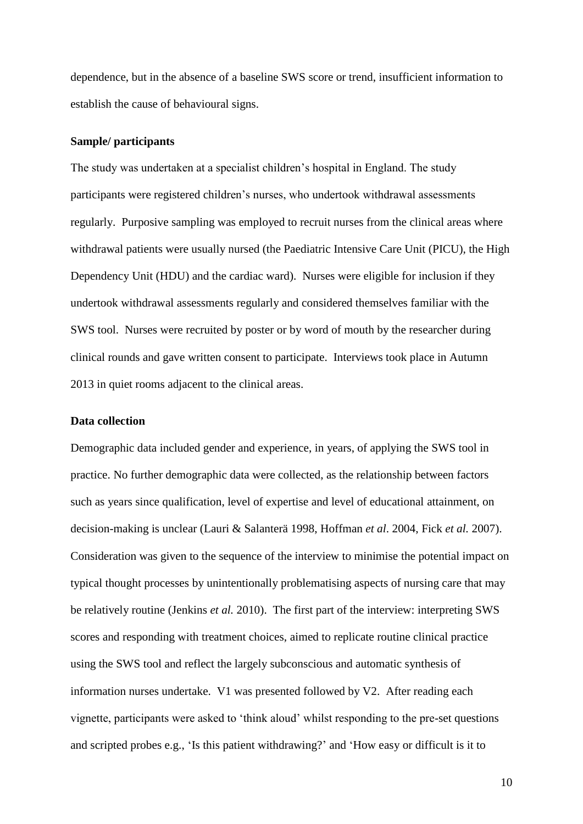dependence, but in the absence of a baseline SWS score or trend, insufficient information to establish the cause of behavioural signs.

#### **Sample/ participants**

The study was undertaken at a specialist children's hospital in England. The study participants were registered children's nurses, who undertook withdrawal assessments regularly. Purposive sampling was employed to recruit nurses from the clinical areas where withdrawal patients were usually nursed (the Paediatric Intensive Care Unit (PICU), the High Dependency Unit (HDU) and the cardiac ward). Nurses were eligible for inclusion if they undertook withdrawal assessments regularly and considered themselves familiar with the SWS tool. Nurses were recruited by poster or by word of mouth by the researcher during clinical rounds and gave written consent to participate. Interviews took place in Autumn 2013 in quiet rooms adjacent to the clinical areas.

#### **Data collection**

Demographic data included gender and experience, in years, of applying the SWS tool in practice. No further demographic data were collected, as the relationship between factors such as years since qualification, level of expertise and level of educational attainment, on decision-making is unclear (Lauri & Salanterä 1998, Hoffman *et al*. 2004, Fick *et al.* 2007). Consideration was given to the sequence of the interview to minimise the potential impact on typical thought processes by unintentionally problematising aspects of nursing care that may be relatively routine (Jenkins *et al.* 2010). The first part of the interview: interpreting SWS scores and responding with treatment choices, aimed to replicate routine clinical practice using the SWS tool and reflect the largely subconscious and automatic synthesis of information nurses undertake. V1 was presented followed by V2. After reading each vignette, participants were asked to 'think aloud' whilst responding to the pre-set questions and scripted probes e.g., 'Is this patient withdrawing?' and 'How easy or difficult is it to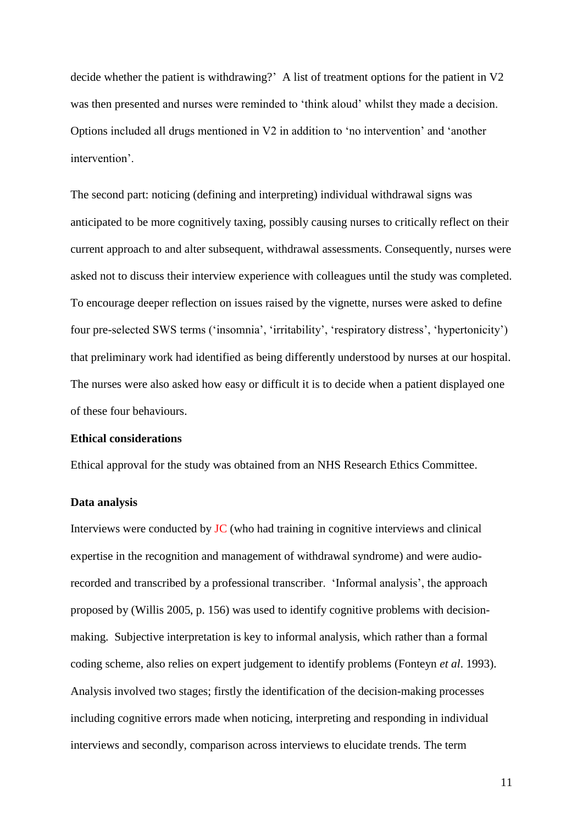decide whether the patient is withdrawing?' A list of treatment options for the patient in V2 was then presented and nurses were reminded to 'think aloud' whilst they made a decision. Options included all drugs mentioned in V2 in addition to 'no intervention' and 'another intervention'.

The second part: noticing (defining and interpreting) individual withdrawal signs was anticipated to be more cognitively taxing, possibly causing nurses to critically reflect on their current approach to and alter subsequent, withdrawal assessments. Consequently, nurses were asked not to discuss their interview experience with colleagues until the study was completed. To encourage deeper reflection on issues raised by the vignette, nurses were asked to define four pre-selected SWS terms ('insomnia', 'irritability', 'respiratory distress', 'hypertonicity') that preliminary work had identified as being differently understood by nurses at our hospital. The nurses were also asked how easy or difficult it is to decide when a patient displayed one of these four behaviours.

### **Ethical considerations**

Ethical approval for the study was obtained from an NHS Research Ethics Committee.

#### **Data analysis**

Interviews were conducted by JC (who had training in cognitive interviews and clinical expertise in the recognition and management of withdrawal syndrome) and were audiorecorded and transcribed by a professional transcriber. 'Informal analysis', the approach proposed by (Willis 2005, p. 156) was used to identify cognitive problems with decisionmaking. Subjective interpretation is key to informal analysis, which rather than a formal coding scheme, also relies on expert judgement to identify problems (Fonteyn *et al*. 1993). Analysis involved two stages; firstly the identification of the decision-making processes including cognitive errors made when noticing, interpreting and responding in individual interviews and secondly, comparison across interviews to elucidate trends. The term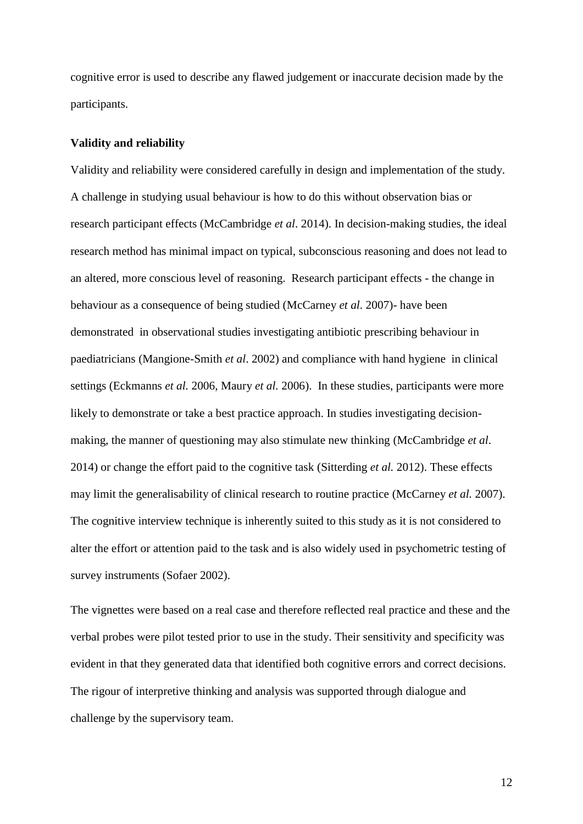cognitive error is used to describe any flawed judgement or inaccurate decision made by the participants.

#### **Validity and reliability**

Validity and reliability were considered carefully in design and implementation of the study. A challenge in studying usual behaviour is how to do this without observation bias or research participant effects (McCambridge *et al*. 2014). In decision-making studies, the ideal research method has minimal impact on typical, subconscious reasoning and does not lead to an altered, more conscious level of reasoning. Research participant effects - the change in behaviour as a consequence of being studied (McCarney *et al*. 2007)- have been demonstrated in observational studies investigating antibiotic prescribing behaviour in paediatricians (Mangione-Smith *et al*. 2002) and compliance with hand hygiene in clinical settings (Eckmanns *et al.* 2006, Maury *et al.* 2006). In these studies, participants were more likely to demonstrate or take a best practice approach. In studies investigating decisionmaking, the manner of questioning may also stimulate new thinking (McCambridge *et al*. 2014) or change the effort paid to the cognitive task (Sitterding *et al.* 2012). These effects may limit the generalisability of clinical research to routine practice (McCarney *et al.* 2007). The cognitive interview technique is inherently suited to this study as it is not considered to alter the effort or attention paid to the task and is also widely used in psychometric testing of survey instruments (Sofaer 2002).

The vignettes were based on a real case and therefore reflected real practice and these and the verbal probes were pilot tested prior to use in the study. Their sensitivity and specificity was evident in that they generated data that identified both cognitive errors and correct decisions. The rigour of interpretive thinking and analysis was supported through dialogue and challenge by the supervisory team.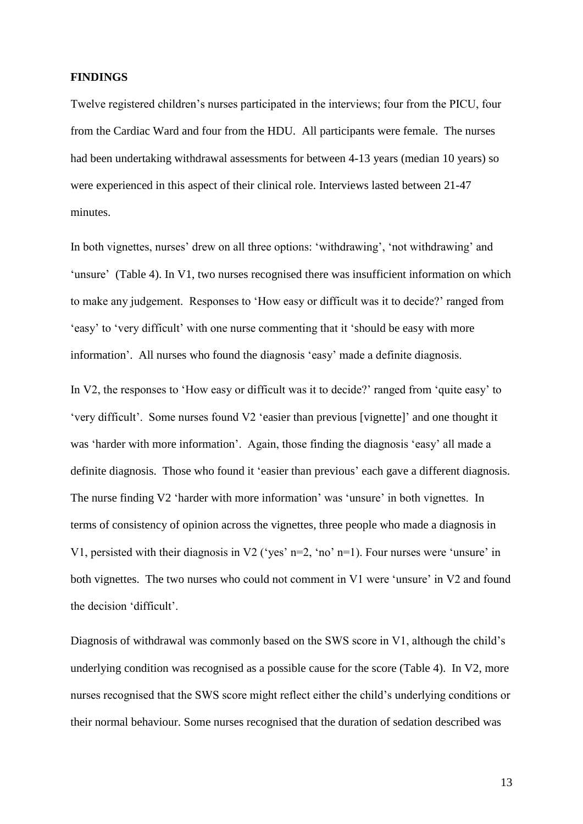#### **FINDINGS**

Twelve registered children's nurses participated in the interviews; four from the PICU, four from the Cardiac Ward and four from the HDU. All participants were female. The nurses had been undertaking withdrawal assessments for between 4-13 years (median 10 years) so were experienced in this aspect of their clinical role. Interviews lasted between 21-47 minutes.

In both vignettes, nurses' drew on all three options: 'withdrawing', 'not withdrawing' and 'unsure' (Table 4). In V1, two nurses recognised there was insufficient information on which to make any judgement. Responses to 'How easy or difficult was it to decide?' ranged from 'easy' to 'very difficult' with one nurse commenting that it 'should be easy with more information'. All nurses who found the diagnosis 'easy' made a definite diagnosis.

In V2, the responses to 'How easy or difficult was it to decide?' ranged from 'quite easy' to 'very difficult'. Some nurses found V2 'easier than previous [vignette]' and one thought it was 'harder with more information'. Again, those finding the diagnosis 'easy' all made a definite diagnosis. Those who found it 'easier than previous' each gave a different diagnosis. The nurse finding V2 'harder with more information' was 'unsure' in both vignettes. In terms of consistency of opinion across the vignettes, three people who made a diagnosis in V1, persisted with their diagnosis in V2 ('yes' n=2, 'no' n=1). Four nurses were 'unsure' in both vignettes. The two nurses who could not comment in V1 were 'unsure' in V2 and found the decision 'difficult'.

Diagnosis of withdrawal was commonly based on the SWS score in V1, although the child's underlying condition was recognised as a possible cause for the score (Table 4). In V2, more nurses recognised that the SWS score might reflect either the child's underlying conditions or their normal behaviour. Some nurses recognised that the duration of sedation described was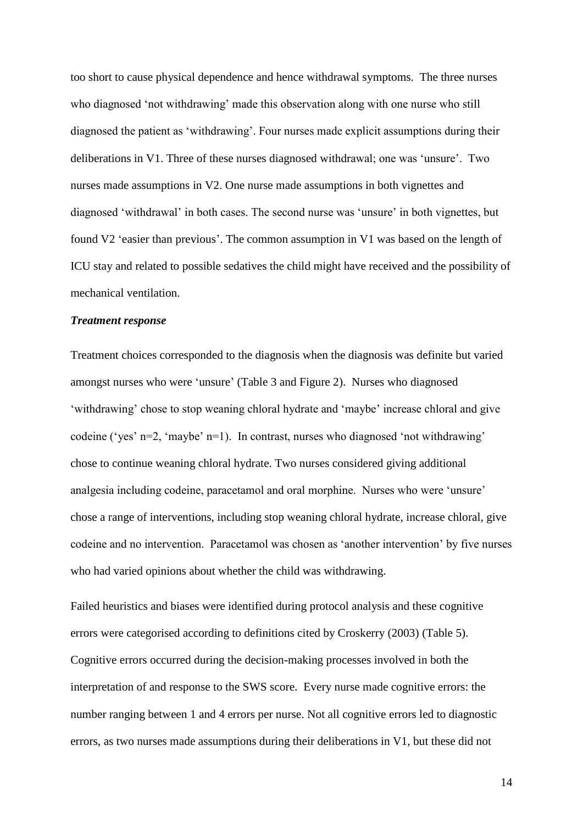too short to cause physical dependence and hence withdrawal symptoms. The three nurses who diagnosed 'not withdrawing' made this observation along with one nurse who still diagnosed the patient as 'withdrawing'. Four nurses made explicit assumptions during their deliberations in V1. Three of these nurses diagnosed withdrawal; one was 'unsure'. Two nurses made assumptions in V2. One nurse made assumptions in both vignettes and diagnosed 'withdrawal' in both cases. The second nurse was 'unsure' in both vignettes, but found V2 'easier than previous'. The common assumption in V1 was based on the length of ICU stay and related to possible sedatives the child might have received and the possibility of mechanical ventilation.

#### *Treatment response*

Treatment choices corresponded to the diagnosis when the diagnosis was definite but varied amongst nurses who were 'unsure' (Table 3 and Figure 2). Nurses who diagnosed 'withdrawing' chose to stop weaning chloral hydrate and 'maybe' increase chloral and give codeine ('yes' n=2, 'maybe' n=1). In contrast, nurses who diagnosed 'not withdrawing' chose to continue weaning chloral hydrate. Two nurses considered giving additional analgesia including codeine, paracetamol and oral morphine. Nurses who were 'unsure' chose a range of interventions, including stop weaning chloral hydrate, increase chloral, give codeine and no intervention. Paracetamol was chosen as 'another intervention' by five nurses who had varied opinions about whether the child was withdrawing.

Failed heuristics and biases were identified during protocol analysis and these cognitive errors were categorised according to definitions cited by Croskerry (2003) (Table 5). Cognitive errors occurred during the decision-making processes involved in both the interpretation of and response to the SWS score. Every nurse made cognitive errors: the number ranging between 1 and 4 errors per nurse. Not all cognitive errors led to diagnostic errors, as two nurses made assumptions during their deliberations in V1, but these did not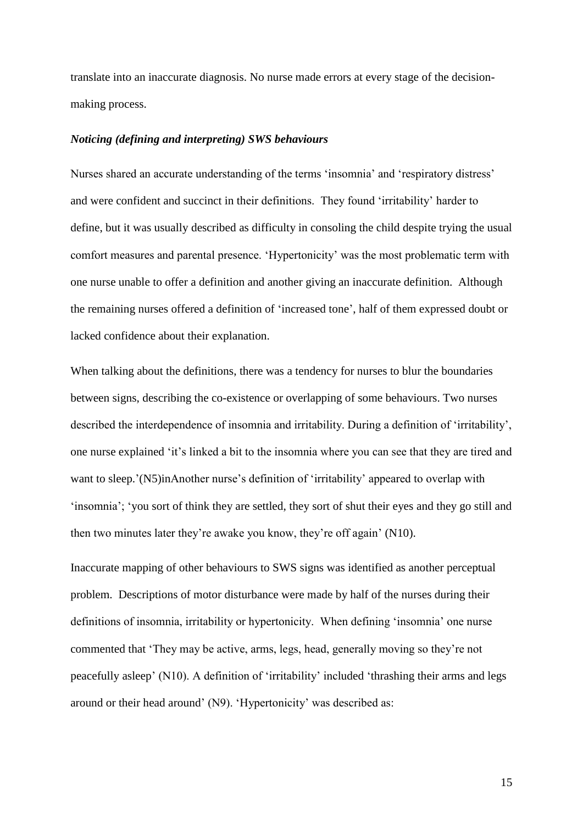translate into an inaccurate diagnosis. No nurse made errors at every stage of the decisionmaking process.

#### *Noticing (defining and interpreting) SWS behaviours*

Nurses shared an accurate understanding of the terms 'insomnia' and 'respiratory distress' and were confident and succinct in their definitions. They found 'irritability' harder to define, but it was usually described as difficulty in consoling the child despite trying the usual comfort measures and parental presence. 'Hypertonicity' was the most problematic term with one nurse unable to offer a definition and another giving an inaccurate definition. Although the remaining nurses offered a definition of 'increased tone', half of them expressed doubt or lacked confidence about their explanation.

When talking about the definitions, there was a tendency for nurses to blur the boundaries between signs, describing the co-existence or overlapping of some behaviours. Two nurses described the interdependence of insomnia and irritability. During a definition of 'irritability', one nurse explained 'it's linked a bit to the insomnia where you can see that they are tired and want to sleep.'(N5)inAnother nurse's definition of 'irritability' appeared to overlap with 'insomnia'; 'you sort of think they are settled, they sort of shut their eyes and they go still and then two minutes later they're awake you know, they're off again' (N10).

Inaccurate mapping of other behaviours to SWS signs was identified as another perceptual problem. Descriptions of motor disturbance were made by half of the nurses during their definitions of insomnia, irritability or hypertonicity. When defining 'insomnia' one nurse commented that 'They may be active, arms, legs, head, generally moving so they're not peacefully asleep' (N10). A definition of 'irritability' included 'thrashing their arms and legs around or their head around' (N9). 'Hypertonicity' was described as: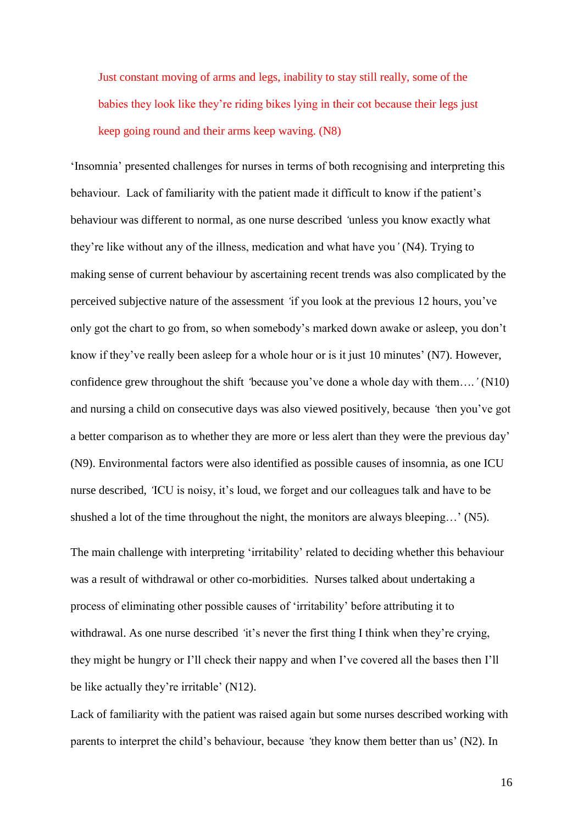Just constant moving of arms and legs, inability to stay still really, some of the babies they look like they're riding bikes lying in their cot because their legs just keep going round and their arms keep waving. (N8)

'Insomnia' presented challenges for nurses in terms of both recognising and interpreting this behaviour. Lack of familiarity with the patient made it difficult to know if the patient's behaviour was different to normal*,* as one nurse described *'*unless you know exactly what they're like without any of the illness, medication and what have you*'* (N4). Trying to making sense of current behaviour by ascertaining recent trends was also complicated by the perceived subjective nature of the assessment *'*if you look at the previous 12 hours, you've only got the chart to go from, so when somebody's marked down awake or asleep, you don't know if they've really been asleep for a whole hour or is it just 10 minutes' (N7). However, confidence grew throughout the shift *'*because you've done a whole day with them….*'* (N10) and nursing a child on consecutive days was also viewed positively, because *'*then you've got a better comparison as to whether they are more or less alert than they were the previous day' (N9). Environmental factors were also identified as possible causes of insomnia, as one ICU nurse described, *'*ICU is noisy, it's loud, we forget and our colleagues talk and have to be shushed a lot of the time throughout the night, the monitors are always bleeping…' (N5).

The main challenge with interpreting 'irritability' related to deciding whether this behaviour was a result of withdrawal or other co-morbidities. Nurses talked about undertaking a process of eliminating other possible causes of 'irritability' before attributing it to withdrawal. As one nurse described *'*it's never the first thing I think when they're crying, they might be hungry or I'll check their nappy and when I've covered all the bases then I'll be like actually they're irritable' (N12).

Lack of familiarity with the patient was raised again but some nurses described working with parents to interpret the child's behaviour, because *'*they know them better than us' (N2). In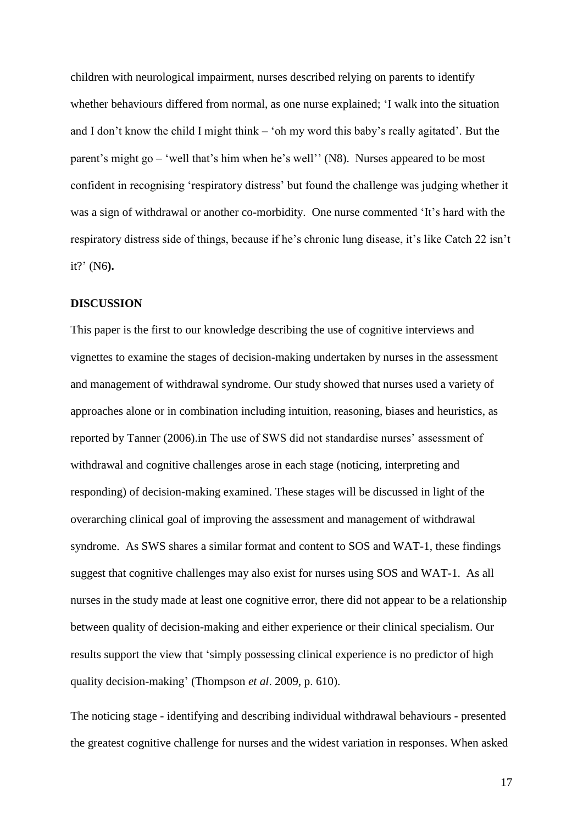children with neurological impairment, nurses described relying on parents to identify whether behaviours differed from normal, as one nurse explained; 'I walk into the situation and I don't know the child I might think – 'oh my word this baby's really agitated'. But the parent's might go – 'well that's him when he's well'' (N8). Nurses appeared to be most confident in recognising 'respiratory distress' but found the challenge was judging whether it was a sign of withdrawal or another co-morbidity. One nurse commented 'It's hard with the respiratory distress side of things, because if he's chronic lung disease, it's like Catch 22 isn't it?' (N6**).**

#### **DISCUSSION**

This paper is the first to our knowledge describing the use of cognitive interviews and vignettes to examine the stages of decision-making undertaken by nurses in the assessment and management of withdrawal syndrome. Our study showed that nurses used a variety of approaches alone or in combination including intuition, reasoning, biases and heuristics, as reported by Tanner (2006).in The use of SWS did not standardise nurses' assessment of withdrawal and cognitive challenges arose in each stage (noticing, interpreting and responding) of decision-making examined. These stages will be discussed in light of the overarching clinical goal of improving the assessment and management of withdrawal syndrome. As SWS shares a similar format and content to SOS and WAT-1, these findings suggest that cognitive challenges may also exist for nurses using SOS and WAT-1. As all nurses in the study made at least one cognitive error, there did not appear to be a relationship between quality of decision-making and either experience or their clinical specialism. Our results support the view that 'simply possessing clinical experience is no predictor of high quality decision-making' (Thompson *et al*. 2009, p. 610).

The noticing stage - identifying and describing individual withdrawal behaviours - presented the greatest cognitive challenge for nurses and the widest variation in responses. When asked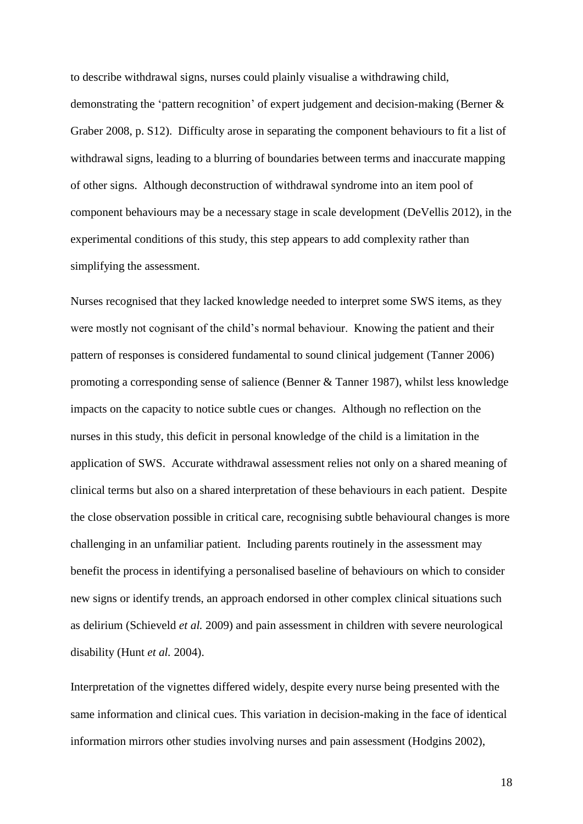to describe withdrawal signs, nurses could plainly visualise a withdrawing child,

demonstrating the 'pattern recognition' of expert judgement and decision-making (Berner & Graber 2008, p. S12). Difficulty arose in separating the component behaviours to fit a list of withdrawal signs, leading to a blurring of boundaries between terms and inaccurate mapping of other signs. Although deconstruction of withdrawal syndrome into an item pool of component behaviours may be a necessary stage in scale development (DeVellis 2012), in the experimental conditions of this study, this step appears to add complexity rather than simplifying the assessment.

Nurses recognised that they lacked knowledge needed to interpret some SWS items, as they were mostly not cognisant of the child's normal behaviour. Knowing the patient and their pattern of responses is considered fundamental to sound clinical judgement (Tanner 2006) promoting a corresponding sense of salience (Benner & Tanner 1987), whilst less knowledge impacts on the capacity to notice subtle cues or changes. Although no reflection on the nurses in this study, this deficit in personal knowledge of the child is a limitation in the application of SWS. Accurate withdrawal assessment relies not only on a shared meaning of clinical terms but also on a shared interpretation of these behaviours in each patient. Despite the close observation possible in critical care, recognising subtle behavioural changes is more challenging in an unfamiliar patient. Including parents routinely in the assessment may benefit the process in identifying a personalised baseline of behaviours on which to consider new signs or identify trends, an approach endorsed in other complex clinical situations such as delirium (Schieveld *et al.* 2009) and pain assessment in children with severe neurological disability (Hunt *et al.* 2004).

Interpretation of the vignettes differed widely, despite every nurse being presented with the same information and clinical cues. This variation in decision-making in the face of identical information mirrors other studies involving nurses and pain assessment (Hodgins 2002),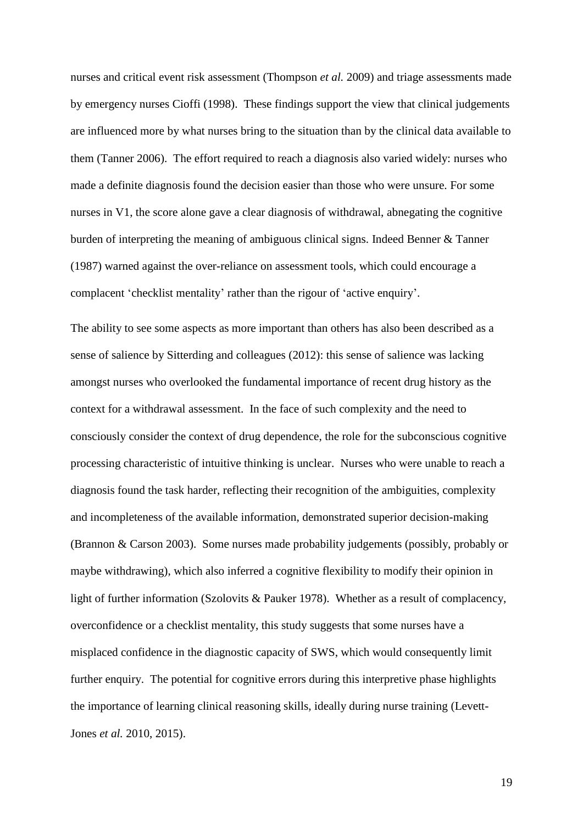nurses and critical event risk assessment (Thompson *et al.* 2009) and triage assessments made by emergency nurses Cioffi (1998). These findings support the view that clinical judgements are influenced more by what nurses bring to the situation than by the clinical data available to them (Tanner 2006). The effort required to reach a diagnosis also varied widely: nurses who made a definite diagnosis found the decision easier than those who were unsure. For some nurses in V1, the score alone gave a clear diagnosis of withdrawal, abnegating the cognitive burden of interpreting the meaning of ambiguous clinical signs. Indeed Benner & Tanner (1987) warned against the over-reliance on assessment tools, which could encourage a complacent 'checklist mentality' rather than the rigour of 'active enquiry'.

The ability to see some aspects as more important than others has also been described as a sense of salience by Sitterding and colleagues (2012): this sense of salience was lacking amongst nurses who overlooked the fundamental importance of recent drug history as the context for a withdrawal assessment. In the face of such complexity and the need to consciously consider the context of drug dependence, the role for the subconscious cognitive processing characteristic of intuitive thinking is unclear. Nurses who were unable to reach a diagnosis found the task harder, reflecting their recognition of the ambiguities, complexity and incompleteness of the available information, demonstrated superior decision-making (Brannon & Carson 2003). Some nurses made probability judgements (possibly, probably or maybe withdrawing), which also inferred a cognitive flexibility to modify their opinion in light of further information (Szolovits & Pauker 1978). Whether as a result of complacency, overconfidence or a checklist mentality, this study suggests that some nurses have a misplaced confidence in the diagnostic capacity of SWS, which would consequently limit further enquiry. The potential for cognitive errors during this interpretive phase highlights the importance of learning clinical reasoning skills, ideally during nurse training (Levett-Jones *et al.* 2010, 2015).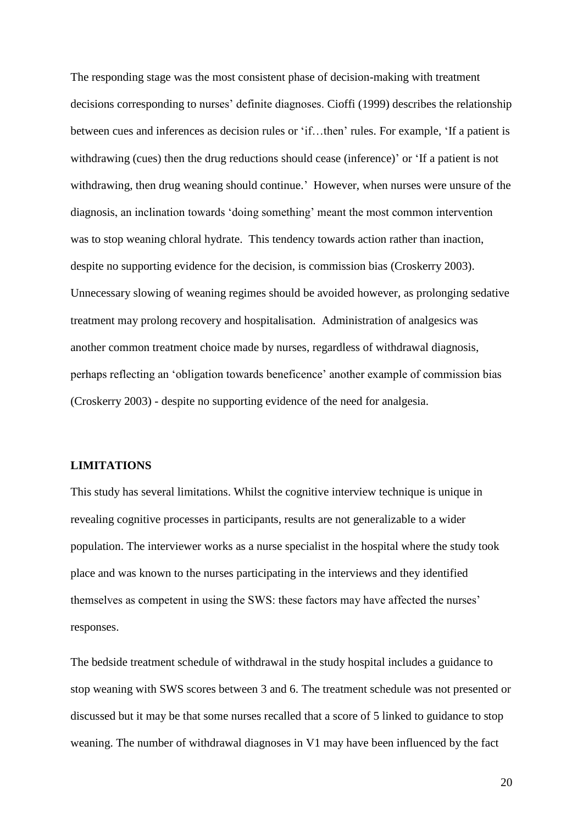The responding stage was the most consistent phase of decision-making with treatment decisions corresponding to nurses' definite diagnoses. Cioffi (1999) describes the relationship between cues and inferences as decision rules or 'if…then' rules. For example, 'If a patient is withdrawing (cues) then the drug reductions should cease (inference)' or 'If a patient is not withdrawing, then drug weaning should continue.' However, when nurses were unsure of the diagnosis, an inclination towards 'doing something' meant the most common intervention was to stop weaning chloral hydrate. This tendency towards action rather than inaction, despite no supporting evidence for the decision, is commission bias (Croskerry 2003). Unnecessary slowing of weaning regimes should be avoided however, as prolonging sedative treatment may prolong recovery and hospitalisation. Administration of analgesics was another common treatment choice made by nurses, regardless of withdrawal diagnosis, perhaps reflecting an 'obligation towards beneficence' another example of commission bias (Croskerry 2003) - despite no supporting evidence of the need for analgesia.

### **LIMITATIONS**

This study has several limitations. Whilst the cognitive interview technique is unique in revealing cognitive processes in participants, results are not generalizable to a wider population. The interviewer works as a nurse specialist in the hospital where the study took place and was known to the nurses participating in the interviews and they identified themselves as competent in using the SWS: these factors may have affected the nurses' responses.

The bedside treatment schedule of withdrawal in the study hospital includes a guidance to stop weaning with SWS scores between 3 and 6. The treatment schedule was not presented or discussed but it may be that some nurses recalled that a score of 5 linked to guidance to stop weaning. The number of withdrawal diagnoses in V1 may have been influenced by the fact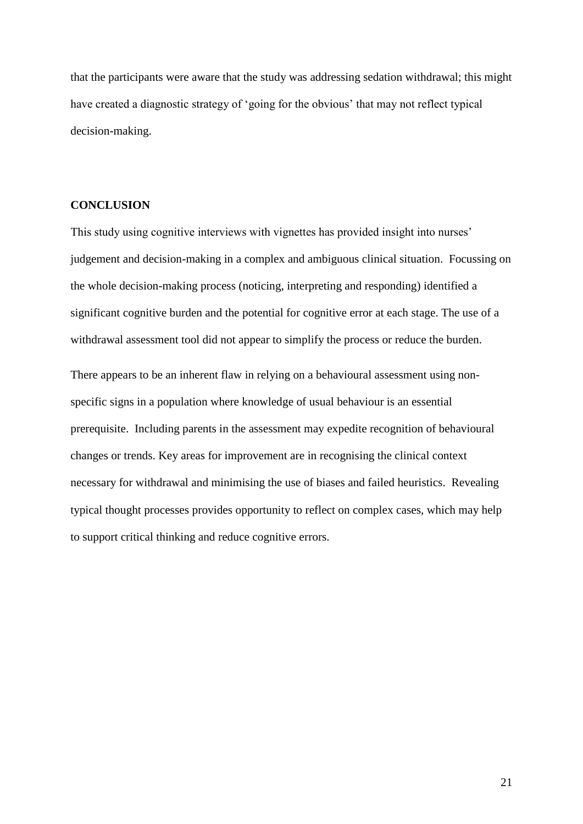that the participants were aware that the study was addressing sedation withdrawal; this might have created a diagnostic strategy of 'going for the obvious' that may not reflect typical decision-making.

### **CONCLUSION**

This study using cognitive interviews with vignettes has provided insight into nurses' judgement and decision-making in a complex and ambiguous clinical situation. Focussing on the whole decision-making process (noticing, interpreting and responding) identified a significant cognitive burden and the potential for cognitive error at each stage. The use of a withdrawal assessment tool did not appear to simplify the process or reduce the burden.

There appears to be an inherent flaw in relying on a behavioural assessment using nonspecific signs in a population where knowledge of usual behaviour is an essential prerequisite. Including parents in the assessment may expedite recognition of behavioural changes or trends. Key areas for improvement are in recognising the clinical context necessary for withdrawal and minimising the use of biases and failed heuristics. Revealing typical thought processes provides opportunity to reflect on complex cases, which may help to support critical thinking and reduce cognitive errors.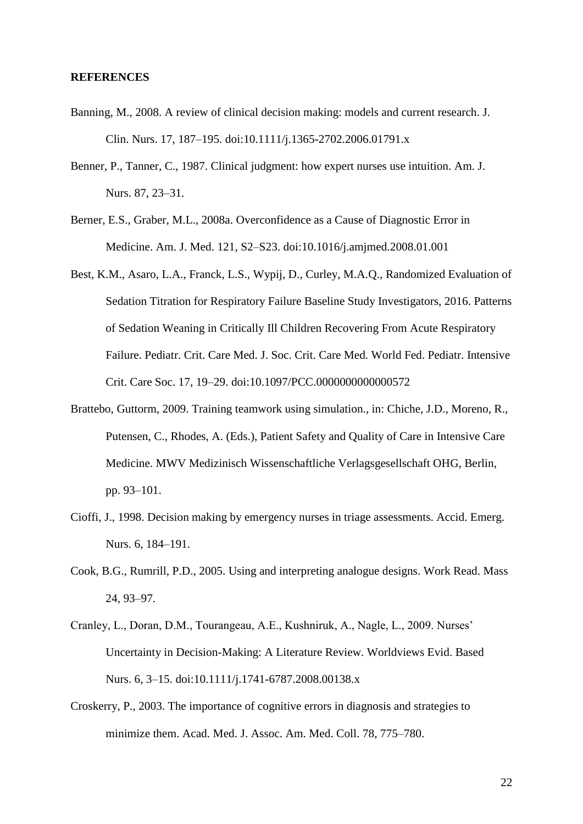#### **REFERENCES**

- Banning, M., 2008. A review of clinical decision making: models and current research. J. Clin. Nurs. 17, 187–195. doi:10.1111/j.1365-2702.2006.01791.x
- Benner, P., Tanner, C., 1987. Clinical judgment: how expert nurses use intuition. Am. J. Nurs. 87, 23–31.
- Berner, E.S., Graber, M.L., 2008a. Overconfidence as a Cause of Diagnostic Error in Medicine. Am. J. Med. 121, S2–S23. doi:10.1016/j.amjmed.2008.01.001
- Best, K.M., Asaro, L.A., Franck, L.S., Wypij, D., Curley, M.A.Q., Randomized Evaluation of Sedation Titration for Respiratory Failure Baseline Study Investigators, 2016. Patterns of Sedation Weaning in Critically Ill Children Recovering From Acute Respiratory Failure. Pediatr. Crit. Care Med. J. Soc. Crit. Care Med. World Fed. Pediatr. Intensive Crit. Care Soc. 17, 19–29. doi:10.1097/PCC.0000000000000572
- Brattebo, Guttorm, 2009. Training teamwork using simulation., in: Chiche, J.D., Moreno, R., Putensen, C., Rhodes, A. (Eds.), Patient Safety and Quality of Care in Intensive Care Medicine. MWV Medizinisch Wissenschaftliche Verlagsgesellschaft OHG, Berlin, pp. 93–101.
- Cioffi, J., 1998. Decision making by emergency nurses in triage assessments. Accid. Emerg. Nurs. 6, 184–191.
- Cook, B.G., Rumrill, P.D., 2005. Using and interpreting analogue designs. Work Read. Mass 24, 93–97.
- Cranley, L., Doran, D.M., Tourangeau, A.E., Kushniruk, A., Nagle, L., 2009. Nurses' Uncertainty in Decision-Making: A Literature Review. Worldviews Evid. Based Nurs. 6, 3–15. doi:10.1111/j.1741-6787.2008.00138.x
- Croskerry, P., 2003. The importance of cognitive errors in diagnosis and strategies to minimize them. Acad. Med. J. Assoc. Am. Med. Coll. 78, 775–780.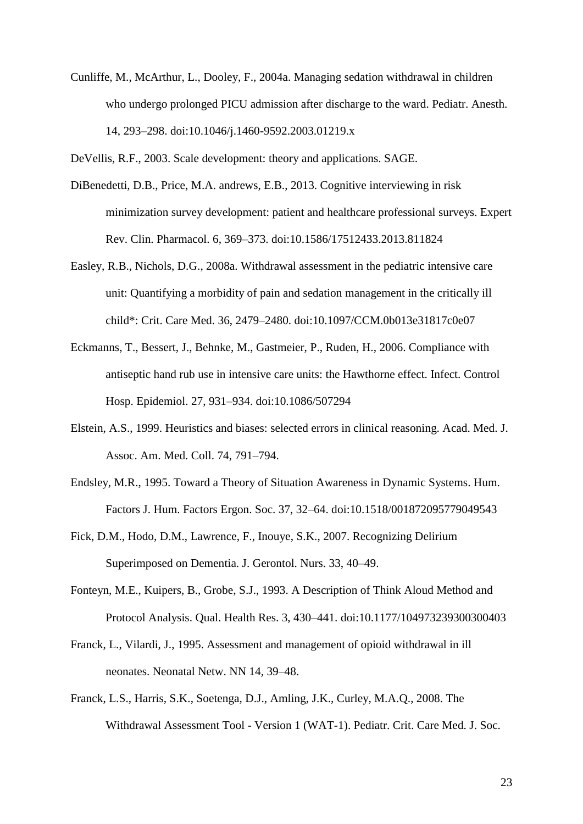Cunliffe, M., McArthur, L., Dooley, F., 2004a. Managing sedation withdrawal in children who undergo prolonged PICU admission after discharge to the ward. Pediatr. Anesth. 14, 293–298. doi:10.1046/j.1460-9592.2003.01219.x

DeVellis, R.F., 2003. Scale development: theory and applications. SAGE.

- DiBenedetti, D.B., Price, M.A. andrews, E.B., 2013. Cognitive interviewing in risk minimization survey development: patient and healthcare professional surveys. Expert Rev. Clin. Pharmacol. 6, 369–373. doi:10.1586/17512433.2013.811824
- Easley, R.B., Nichols, D.G., 2008a. Withdrawal assessment in the pediatric intensive care unit: Quantifying a morbidity of pain and sedation management in the critically ill child\*: Crit. Care Med. 36, 2479–2480. doi:10.1097/CCM.0b013e31817c0e07
- Eckmanns, T., Bessert, J., Behnke, M., Gastmeier, P., Ruden, H., 2006. Compliance with antiseptic hand rub use in intensive care units: the Hawthorne effect. Infect. Control Hosp. Epidemiol. 27, 931–934. doi:10.1086/507294
- Elstein, A.S., 1999. Heuristics and biases: selected errors in clinical reasoning. Acad. Med. J. Assoc. Am. Med. Coll. 74, 791–794.
- Endsley, M.R., 1995. Toward a Theory of Situation Awareness in Dynamic Systems. Hum. Factors J. Hum. Factors Ergon. Soc. 37, 32–64. doi:10.1518/001872095779049543
- Fick, D.M., Hodo, D.M., Lawrence, F., Inouye, S.K., 2007. Recognizing Delirium Superimposed on Dementia. J. Gerontol. Nurs. 33, 40–49.
- Fonteyn, M.E., Kuipers, B., Grobe, S.J., 1993. A Description of Think Aloud Method and Protocol Analysis. Qual. Health Res. 3, 430–441. doi:10.1177/104973239300300403
- Franck, L., Vilardi, J., 1995. Assessment and management of opioid withdrawal in ill neonates. Neonatal Netw. NN 14, 39–48.
- Franck, L.S., Harris, S.K., Soetenga, D.J., Amling, J.K., Curley, M.A.Q., 2008. The Withdrawal Assessment Tool - Version 1 (WAT-1). Pediatr. Crit. Care Med. J. Soc.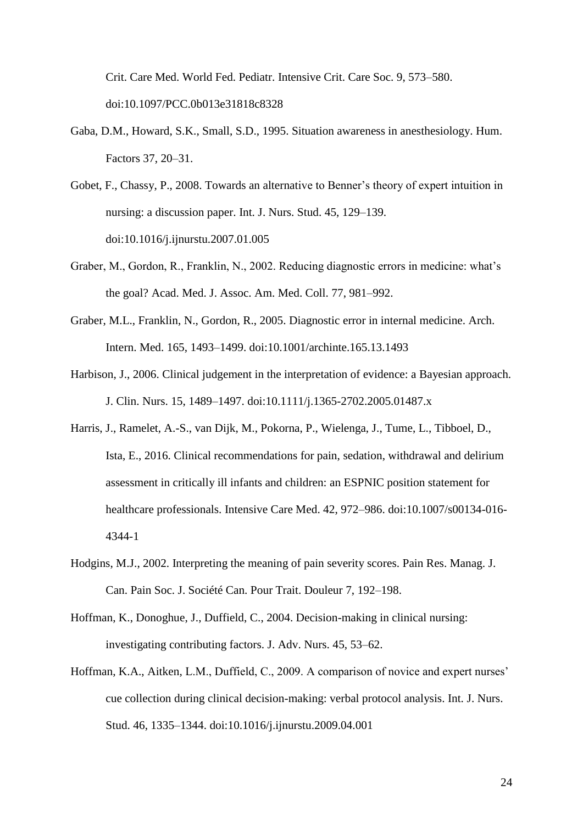Crit. Care Med. World Fed. Pediatr. Intensive Crit. Care Soc. 9, 573–580. doi:10.1097/PCC.0b013e31818c8328

- Gaba, D.M., Howard, S.K., Small, S.D., 1995. Situation awareness in anesthesiology. Hum. Factors 37, 20–31.
- Gobet, F., Chassy, P., 2008. Towards an alternative to Benner's theory of expert intuition in nursing: a discussion paper. Int. J. Nurs. Stud. 45, 129–139. doi:10.1016/j.ijnurstu.2007.01.005
- Graber, M., Gordon, R., Franklin, N., 2002. Reducing diagnostic errors in medicine: what's the goal? Acad. Med. J. Assoc. Am. Med. Coll. 77, 981–992.
- Graber, M.L., Franklin, N., Gordon, R., 2005. Diagnostic error in internal medicine. Arch. Intern. Med. 165, 1493–1499. doi:10.1001/archinte.165.13.1493
- Harbison, J., 2006. Clinical judgement in the interpretation of evidence: a Bayesian approach. J. Clin. Nurs. 15, 1489–1497. doi:10.1111/j.1365-2702.2005.01487.x
- Harris, J., Ramelet, A.-S., van Dijk, M., Pokorna, P., Wielenga, J., Tume, L., Tibboel, D., Ista, E., 2016. Clinical recommendations for pain, sedation, withdrawal and delirium assessment in critically ill infants and children: an ESPNIC position statement for healthcare professionals. Intensive Care Med. 42, 972–986. doi:10.1007/s00134-016- 4344-1
- Hodgins, M.J., 2002. Interpreting the meaning of pain severity scores. Pain Res. Manag. J. Can. Pain Soc. J. Société Can. Pour Trait. Douleur 7, 192–198.
- Hoffman, K., Donoghue, J., Duffield, C., 2004. Decision-making in clinical nursing: investigating contributing factors. J. Adv. Nurs. 45, 53–62.
- Hoffman, K.A., Aitken, L.M., Duffield, C., 2009. A comparison of novice and expert nurses' cue collection during clinical decision-making: verbal protocol analysis. Int. J. Nurs. Stud. 46, 1335–1344. doi:10.1016/j.ijnurstu.2009.04.001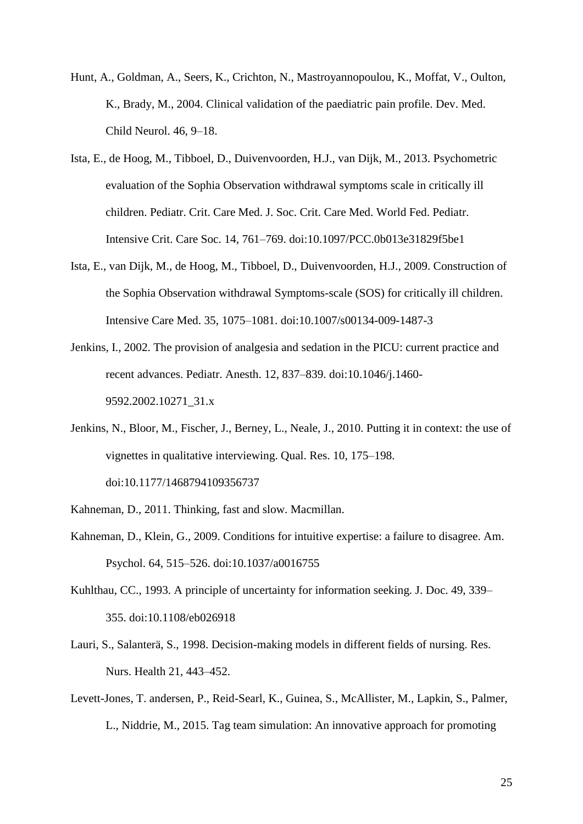- Hunt, A., Goldman, A., Seers, K., Crichton, N., Mastroyannopoulou, K., Moffat, V., Oulton, K., Brady, M., 2004. Clinical validation of the paediatric pain profile. Dev. Med. Child Neurol. 46, 9–18.
- Ista, E., de Hoog, M., Tibboel, D., Duivenvoorden, H.J., van Dijk, M., 2013. Psychometric evaluation of the Sophia Observation withdrawal symptoms scale in critically ill children. Pediatr. Crit. Care Med. J. Soc. Crit. Care Med. World Fed. Pediatr. Intensive Crit. Care Soc. 14, 761–769. doi:10.1097/PCC.0b013e31829f5be1
- Ista, E., van Dijk, M., de Hoog, M., Tibboel, D., Duivenvoorden, H.J., 2009. Construction of the Sophia Observation withdrawal Symptoms-scale (SOS) for critically ill children. Intensive Care Med. 35, 1075–1081. doi:10.1007/s00134-009-1487-3
- Jenkins, I., 2002. The provision of analgesia and sedation in the PICU: current practice and recent advances. Pediatr. Anesth. 12, 837–839. doi:10.1046/j.1460- 9592.2002.10271\_31.x
- Jenkins, N., Bloor, M., Fischer, J., Berney, L., Neale, J., 2010. Putting it in context: the use of vignettes in qualitative interviewing. Qual. Res. 10, 175–198. doi:10.1177/1468794109356737
- Kahneman, D., 2011. Thinking, fast and slow. Macmillan.
- Kahneman, D., Klein, G., 2009. Conditions for intuitive expertise: a failure to disagree. Am. Psychol. 64, 515–526. doi:10.1037/a0016755
- Kuhlthau, CC., 1993. A principle of uncertainty for information seeking. J. Doc. 49, 339– 355. doi:10.1108/eb026918
- Lauri, S., Salanterä, S., 1998. Decision-making models in different fields of nursing. Res. Nurs. Health 21, 443–452.
- Levett-Jones, T. andersen, P., Reid-Searl, K., Guinea, S., McAllister, M., Lapkin, S., Palmer, L., Niddrie, M., 2015. Tag team simulation: An innovative approach for promoting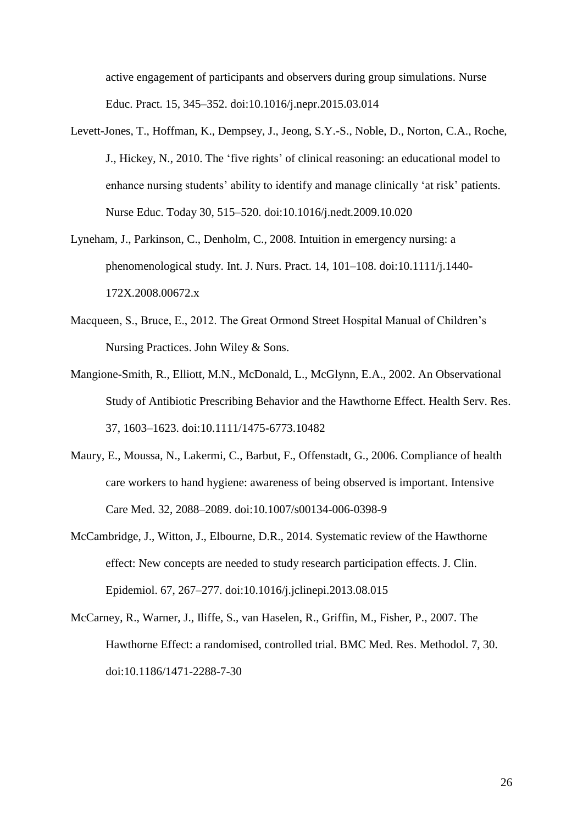active engagement of participants and observers during group simulations. Nurse Educ. Pract. 15, 345–352. doi:10.1016/j.nepr.2015.03.014

- Levett-Jones, T., Hoffman, K., Dempsey, J., Jeong, S.Y.-S., Noble, D., Norton, C.A., Roche, J., Hickey, N., 2010. The 'five rights' of clinical reasoning: an educational model to enhance nursing students' ability to identify and manage clinically 'at risk' patients. Nurse Educ. Today 30, 515–520. doi:10.1016/j.nedt.2009.10.020
- Lyneham, J., Parkinson, C., Denholm, C., 2008. Intuition in emergency nursing: a phenomenological study. Int. J. Nurs. Pract. 14, 101–108. doi:10.1111/j.1440- 172X.2008.00672.x
- Macqueen, S., Bruce, E., 2012. The Great Ormond Street Hospital Manual of Children's Nursing Practices. John Wiley & Sons.
- Mangione-Smith, R., Elliott, M.N., McDonald, L., McGlynn, E.A., 2002. An Observational Study of Antibiotic Prescribing Behavior and the Hawthorne Effect. Health Serv. Res. 37, 1603–1623. doi:10.1111/1475-6773.10482
- Maury, E., Moussa, N., Lakermi, C., Barbut, F., Offenstadt, G., 2006. Compliance of health care workers to hand hygiene: awareness of being observed is important. Intensive Care Med. 32, 2088–2089. doi:10.1007/s00134-006-0398-9
- McCambridge, J., Witton, J., Elbourne, D.R., 2014. Systematic review of the Hawthorne effect: New concepts are needed to study research participation effects. J. Clin. Epidemiol. 67, 267–277. doi:10.1016/j.jclinepi.2013.08.015
- McCarney, R., Warner, J., Iliffe, S., van Haselen, R., Griffin, M., Fisher, P., 2007. The Hawthorne Effect: a randomised, controlled trial. BMC Med. Res. Methodol. 7, 30. doi:10.1186/1471-2288-7-30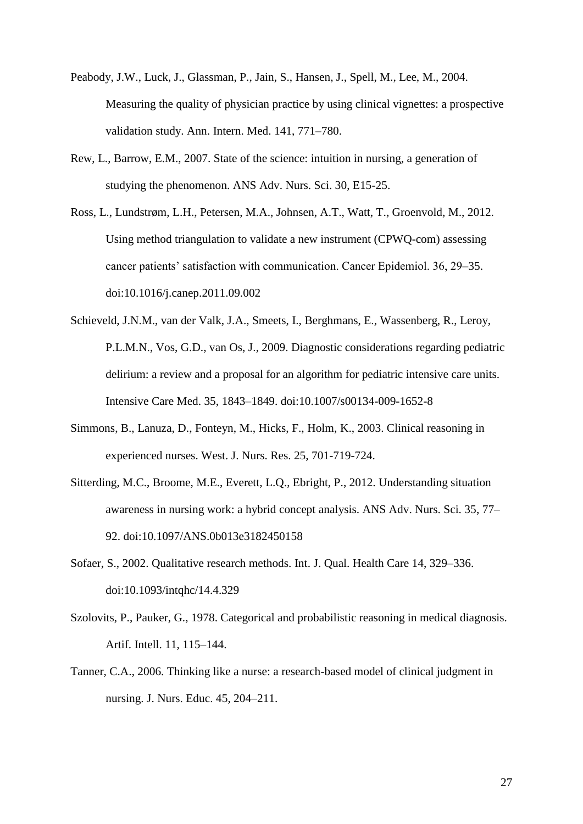- Peabody, J.W., Luck, J., Glassman, P., Jain, S., Hansen, J., Spell, M., Lee, M., 2004. Measuring the quality of physician practice by using clinical vignettes: a prospective validation study. Ann. Intern. Med. 141, 771–780.
- Rew, L., Barrow, E.M., 2007. State of the science: intuition in nursing, a generation of studying the phenomenon. ANS Adv. Nurs. Sci. 30, E15-25.
- Ross, L., Lundstrøm, L.H., Petersen, M.A., Johnsen, A.T., Watt, T., Groenvold, M., 2012. Using method triangulation to validate a new instrument (CPWQ-com) assessing cancer patients' satisfaction with communication. Cancer Epidemiol. 36, 29–35. doi:10.1016/j.canep.2011.09.002
- Schieveld, J.N.M., van der Valk, J.A., Smeets, I., Berghmans, E., Wassenberg, R., Leroy, P.L.M.N., Vos, G.D., van Os, J., 2009. Diagnostic considerations regarding pediatric delirium: a review and a proposal for an algorithm for pediatric intensive care units. Intensive Care Med. 35, 1843–1849. doi:10.1007/s00134-009-1652-8
- Simmons, B., Lanuza, D., Fonteyn, M., Hicks, F., Holm, K., 2003. Clinical reasoning in experienced nurses. West. J. Nurs. Res. 25, 701-719-724.
- Sitterding, M.C., Broome, M.E., Everett, L.Q., Ebright, P., 2012. Understanding situation awareness in nursing work: a hybrid concept analysis. ANS Adv. Nurs. Sci. 35, 77– 92. doi:10.1097/ANS.0b013e3182450158
- Sofaer, S., 2002. Qualitative research methods. Int. J. Qual. Health Care 14, 329–336. doi:10.1093/intqhc/14.4.329
- Szolovits, P., Pauker, G., 1978. Categorical and probabilistic reasoning in medical diagnosis. Artif. Intell. 11, 115–144.
- Tanner, C.A., 2006. Thinking like a nurse: a research-based model of clinical judgment in nursing. J. Nurs. Educ. 45, 204–211.